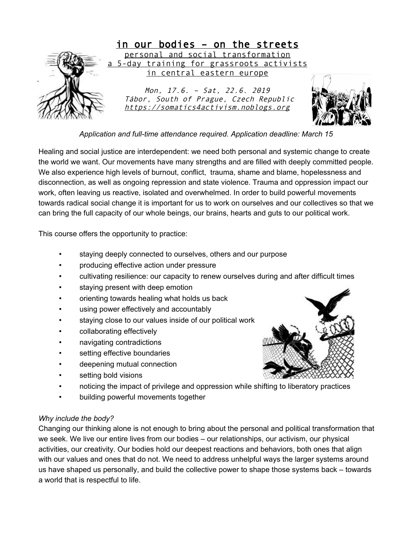

*Application and full-time attendance required. Application deadline: March 15* 

Healing and social justice are interdependent: we need both personal and systemic change to create the world we want. Our movements have many strengths and are filled with deeply committed people. We also experience high levels of burnout, conflict, trauma, shame and blame, hopelessness and disconnection, as well as ongoing repression and state violence. Trauma and oppression impact our work, often leaving us reactive, isolated and overwhelmed. In order to build powerful movements towards radical social change it is important for us to work on ourselves and our collectives so that we can bring the full capacity of our whole beings, our brains, hearts and guts to our political work.

This course offers the opportunity to practice:

- staying deeply connected to ourselves, others and our purpose
- producing effective action under pressure
- cultivating resilience: our capacity to renew ourselves during and after difficult times
- staying present with deep emotion
- orienting towards healing what holds us back
- using power effectively and accountably
- staying close to our values inside of our political work
- collaborating effectively
- navigating contradictions
- setting effective boundaries
- deepening mutual connection
- setting bold visions
- noticing the impact of privilege and oppression while shifting to liberatory practices
- building powerful movements together

# *Why include the body?*

Changing our thinking alone is not enough to bring about the personal and political transformation that we seek. We live our entire lives from our bodies – our relationships, our activism, our physical activities, our creativity. Our bodies hold our deepest reactions and behaviors, both ones that align with our values and ones that do not. We need to address unhelpful ways the larger systems around us have shaped us personally, and build the collective power to shape those systems back – towards a world that is respectful to life.